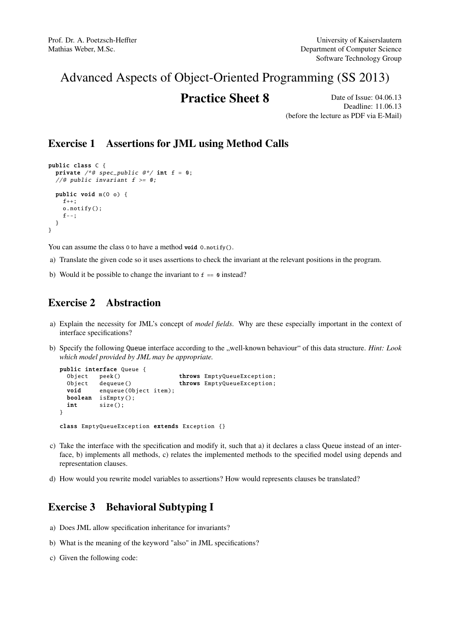# Advanced Aspects of Object-Oriented Programming (SS 2013)

## **Practice Sheet 8** Date of Issue: 04.06.13

Deadline: 11.06.13 (before the lecture as PDF via E-Mail)

#### Exercise 1 Assertions for JML using Method Calls

```
public class C {
 private /*@ spec_public @*/ int f = 0;//@ public invariant f \ge 0;
  public void m(O o) {
   f_{++}:
   o.notify ();
   f--;
 }
}
```
You can assume the class 0 to have a method void 0.notify().

- a) Translate the given code so it uses assertions to check the invariant at the relevant positions in the program.
- b) Would it be possible to change the invariant to  $f = 0$  instead?

#### Exercise 2 Abstraction

- a) Explain the necessity for JML's concept of *model fields*. Why are these especially important in the context of interface specifications?
- b) Specify the following Queue interface according to the "well-known behaviour" of this data structure. *Hint: Look which model provided by JML may be appropriate.*

```
public interface Queue {
 Object peek() throws EmptyQueueException;
 Object dequeue () throws EmptyQueueException;
 void enqueue(Object item);
 boolean isEmpty ();
 int size ();
}
class EmptyQueueException extends Exception {}
```
- c) Take the interface with the specification and modify it, such that a) it declares a class Queue instead of an interface, b) implements all methods, c) relates the implemented methods to the specified model using depends and representation clauses.
- d) How would you rewrite model variables to assertions? How would represents clauses be translated?

## Exercise 3 Behavioral Subtyping I

- a) Does JML allow specification inheritance for invariants?
- b) What is the meaning of the keyword "also" in JML specifications?
- c) Given the following code: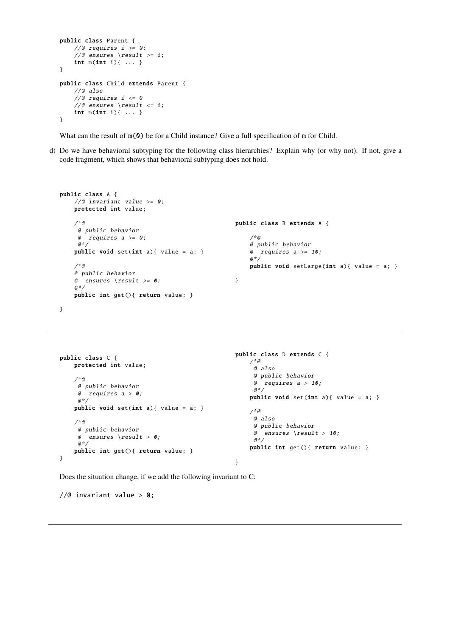```
public class Parent {
    //@ requires i \ge 0;//@ ensures \result >= i;
    int m(int i){ ... }
}
public class Child extends Parent {
    //@ also
    //@ requires i \leq 0//@ ensures \result <= i;
    int m(int i){ ... }
}
```
What can the result of  $m(0)$  be for a Child instance? Give a full specification of m for Child.

d) Do we have behavioral subtyping for the following class hierarchies? Explain why (or why not). If not, give a code fragment, which shows that behavioral subtyping does not hold.

```
public class A {
   //@ invariant value >= 0;protected int value;
   /*@
    @ public behavior
    @ requires a \ge 0;a^*/public void set(int a){ value = a; }
    /*@
    @ public behavior
    @ ensures \result >= 0;a^*public int get (){ return value; }
                                                 public class B extends A {
                                                     /*@
                                                     @ public behavior
                                                     @ requires a \geq 10;a*/public void setLarge(int a){ value = a; }
                                                 }
```
}

```
public class C {
   protected int value;
    /*@
     @ public behavior
     @ requires a > 0;
     a^*/public void set(int a){ value = a; }
    /*@
     @ public behavior
     @ ensures \result > 0;
     a^*/public int get(){ return value; }
}
                                                  public class D extends C {
                                                     /*@
                                                       @ also
                                                       @ public behavior
                                                       @ requires a > 10;
                                                       a * /public void set(int a){ value = a; }
                                                      /*@
                                                       @ also
                                                       @ public behavior
                                                       \emptyset ensures \result > 10;
                                                      @*public int get(){ return value; }
                                                  }
```
Does the situation change, if we add the following invariant to C:

// $@$  invariant value >  $0;$